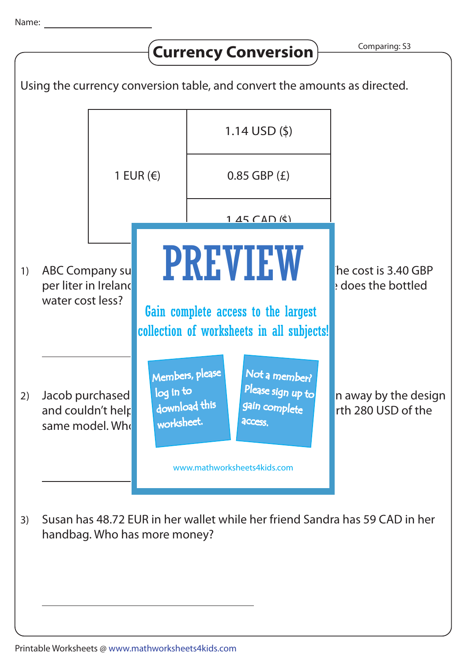